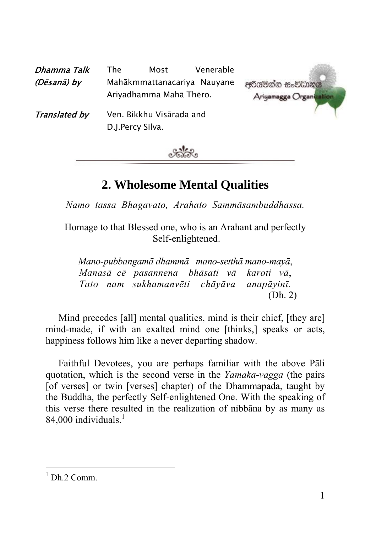| Dhamma Talk   | The | Most                                         | Venerable                   |                                        |
|---------------|-----|----------------------------------------------|-----------------------------|----------------------------------------|
| (Dēsanā) by   |     | Ariyadhamma Mahā Thēro.                      | Mahākmmattanacariya Nauyane | අරියමන්න සංවිධානය<br>Ariyamagga Organi |
| Translated by |     | Ven. Bikkhu Visārada and<br>D.J.Percy Silva. |                             |                                        |



# **2. Wholesome Mental Qualities**

*Namo tassa Bhagavato, Arahato Sammāsambuddhassa.* 

Homage to that Blessed one, who is an Arahant and perfectly Self-enlight[en](#page-0-0)ed.

*Mano-pubbangamā dhammā mano-setthā mano-mayā*, *Manasā cē pasannena bhāsati vā karoti vā*, *Tato nam sukhamanvēti chāyāva anapāyinī.*  (Dh. 2)

Mind precedes [all] mental qualities, mind is their chief, [they are] mind-made, if with an exalted mind one [thinks,] speaks or acts, happiness follows him like a never departing shadow.

Faithful Devotees, you are perhaps familiar with the above Pāli quotation, which is the second verse in the *Yamaka-vagga* (the pairs [of verses] or twin [verses] chapter) of the Dhammapada, taught by the Buddha, the perfectly Self-enlightened One. With the speaking of this verse there resulted in the realization of nibbāna by as many as 84,000 individuals. $1$ 

<span id="page-0-0"></span> $\frac{1}{1}$  $1$  Dh. 2 Comm.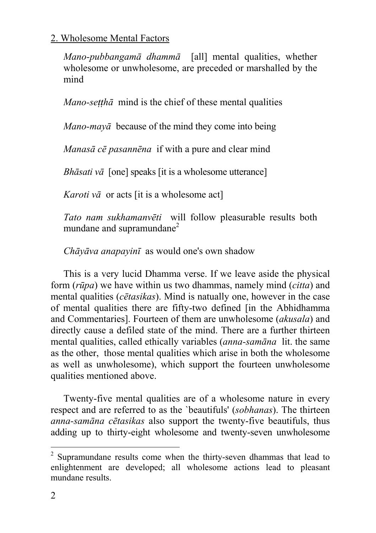*Mano-pubbangamā dhammā* [all] mental qu[ali](#page-1-0)ties, whether wholesome or unwholesome, are preceded or marshalled by the mind

*Mano-setthā* mind is the chief of these mental qualities

*Mano-mayā* because of the mind they come into being

*Manasā cē pasannēna* if with a pure and clear mind

*Bhāsati vā* [one] speaks [it is a wholesome utterance]

*Karoti vā* or acts [it is a wholesome act]

*Tato nam sukhamanvēti* will follow pleasurable results both mundane and supramundane<sup>2</sup>

*Chāyāva anapayinī* as would one's own shadow

This is a very lucid Dhamma verse. If we leave aside the physical form (*rūpa*) we have within us two dhammas, namely mind (*citta*) and mental qualities (*cētasikas*). Mind is natually one, however in the case of mental qualities there are fifty-two defined [in the Abhidhamma and Commentaries]. Fourteen of them are unwholesome (*akusala*) and directly cause a defiled state of the mind. There are a further thirteen mental qualities, called ethically variables (*anna-samāna* lit. the same as the other, those mental qualities which arise in both the wholesome as well as unwholesome), which support the fourteen unwholesome qualities mentioned above.

Twenty-five mental qualities are of a wholesome nature in every respect and are referred to as the `beautifuls' (*sobhanas*). The thirteen *anna-samāna cētasikas* also support the twenty-five beautifuls, thus adding up to thirty-eight wholesome and twenty-seven unwholesome

<span id="page-1-0"></span> $\frac{1}{2}$  $2$  Supramundane results come when the thirty-seven dhammas that lead to enlightenment are developed; all wholesome actions lead to pleasant mundane results.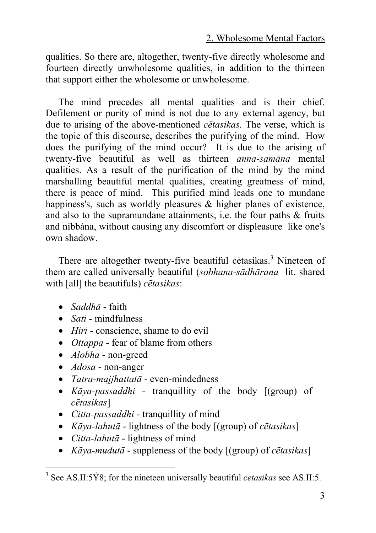qualities. So there are, altogether, twenty-five directly wholesome and fourteen directly unwholesome qualities, in addition to the thirteen that support either the wholesome or unwholesome.

The mind precedes all mental qualities and is their chief. Defilement or purity of mind is not due to any external agency, but due to arising of the above-mentioned *cētasikas.* The verse, which is the topic of this discourse, describes the purifying of the mind. How does the purifying of the mind occur? It is due to the arising of twenty-five beautiful as well as thirteen *anna-samāna* mental qualities. As a result of the purification of the mind by the mind marshalling beautiful mental qualities, creating greatness of mind, there is peace of mind. This purified mind leads one to mundane happiness's, such as worldly pleasures & higher planes of existence, and also to the supramundane attainments, i.e. the four paths & fruits and nibbàna, without causing any discomfort or displeasure like one's own shadow.

There are altogether twenty-five beautiful cētasikas.<sup>3</sup> Nineteen of them are called universally beautiful (*sobhana-sādhārana* lit. shared with [all] the beautifuls) *cētasikas*:

- *Saddhā* faith
- *Sati -* mindfulness
- *Hiri* conscience, shame to do evil
- *Ottappa* fear of blame from others
- *Alobha* non-greed
- *Adosa* non-anger
- *Tatra-majjhattatā* even-mindedness
- *Kāya-passaddhi* tranquillity of the body [(group) of *cētasikas*]
- *Citta-passaddhi* tranquillity of mind
- *Kāya-lahutā* lightness of the body [(group) of *cētasikas*]
- *Citta-lahutā* lightness of mind
- *Kāya-mudutā* suppleness of the body [(group) of *cētasikas*]

 <sup>3</sup> See AS.II:5Ý8; for the nineteen universally beautiful *cetasikas* see AS.II:5.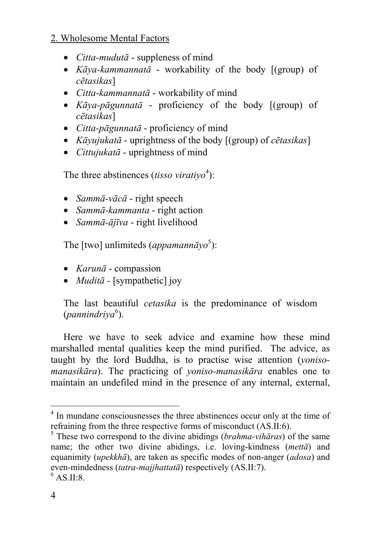- *Citta-mudutā* suppleness of mind
- *Kāya-kammannatā* workability of the body [(gr[ou](#page-3-0)p) of *cētasikas*]
- *Citta-kammannatā* workability of mind
- *Kāya-pāgunnatā* proficiency of the body [(group) of *cētasikas*]
- *Citta-pāgunnatā* proficiency of mind
- *Kāyujukatā* uprightness of th[e](#page-3-1) body [(group) of *cētasikas*]
- *Cittujukatā* uprightness of mind

The three abstinences *(tisso viratiyo*<sup>4</sup>):

- *Sammā-vācā* right speech
- *Sammā-kammanta* right action
- *Sammā-ājīva* right livelihood

The [two] unlimiteds (*appamannāyo* 5 ):

- *Karunā* compassion
- *Muditā* [sympathetic] joy

The last beautiful *cetasika* is the predominance of wisdom (pannindriya<sup>6</sup>).

Here we have to seek advice and examine how these mind marshalled mental qualities keep the mind purified. The advice, as taught by the lord Buddha, is to practise wise attention (*yonisomanasikāra*). The practicing of *yoniso-manasikāra* enables one to maintain an undefiled mind in the presence of any internal, external,

 $\frac{1}{4}$  $<sup>4</sup>$  In mundane consciousnesses the three abstinences occur only at the time of refraining from the three respective forms of misconduct (AS.II:6).</sup>

<span id="page-3-0"></span> $\frac{1}{\sqrt{2}}$ . These two correspond to the divine abidings (*brahma-vihāras*) of the same name; the other two divine abidings, i.e. loving-kindness (*mettā*) and equanimity (*upekkhā*), are taken as specific modes of non-anger (*adosa*) and even-mindedness (*tatra-majjhattatā*) respectively (AS.II:7).

<span id="page-3-1"></span> $6$  AS II:8.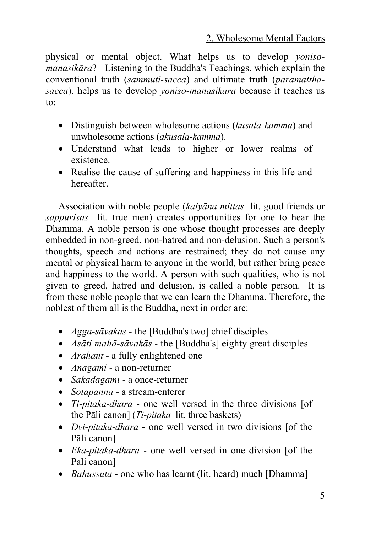physical or mental object. What helps us to develop *yonisomanasikāra*? Listening to the Buddha's Teachings, which explain the conventional truth (*sammuti-sacca*) and ultimate truth (*paramatthasacca*), helps us to develop *yoniso-manasikāra* because it teaches us to:

- Distinguish between wholesome actions (*kusala-kamma*) and unwholesome actions (*akusala*-*kamma*).
- Understand what leads to higher or lower realms of existence.
- Realise the cause of suffering and happiness in this life and hereafter.

Association with noble people (*kalyāna mittas* lit. good friends or *sappurisas* lit. true men) creates opportunities for one to hear the Dhamma. A noble person is one whose thought processes are deeply embedded in non-greed, non-hatred and non-delusion. Such a person's thoughts, speech and actions are restrained; they do not cause any mental or physical harm to anyone in the world, but rather bring peace and happiness to the world. A person with such qualities, who is not given to greed, hatred and delusion, is called a noble person. It is from these noble people that we can learn the Dhamma. Therefore, the noblest of them all is the Buddha, next in order are:

- *Agga-sāvakas* the [Buddha's two] chief disciples
- *Asāti mahā-sāvakās* the [Buddha's] eighty great disciples
- *Arahant* a fully enlightened one
- *Anāgāmi* a non-returner
- *Sakadāgāmī -* a once-returner
- *Sotāpanna -* a stream-enterer
- *Ti-pitaka-dhara* one well versed in the three divisions [of the Pāli canon] (*Ti-pitaka* lit. three baskets)
- *Dvi-pitaka-dhara* one well versed in two divisions [of the Pāli canon]
- *Eka-pitaka-dhara* one well versed in one division [of the Pāli canon]
- *Bahussuta* one who has learnt (lit. heard) much [Dhamma]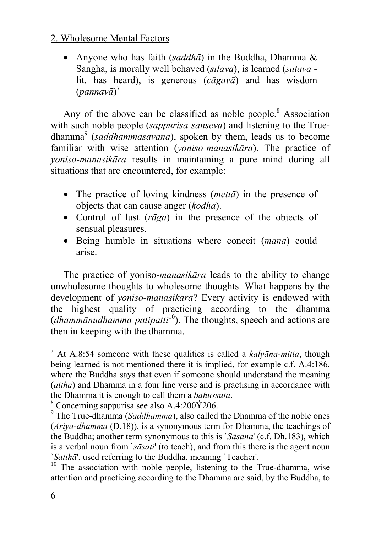• Anyone who has faith (*saddhā*) in the Buddha, Dhamma & Sangha, is morally well behaved (*sīlavā*), is learned (*sutavā*  lit. has heard), is generous (*cāgavā*) and has wisdom (*pannavā*) 7

Any of the above can be classified as noble people. $8$  Association with such noble people (*sappurisa-sanseva*) and listening to the Truedhamma 9 (*saddhammasavana*), spoken by them, [lea](#page-5-0)ds us to become familiar with wise attention (*yoniso-manasikāra*). The practice of *yoniso-manasikāra* results in maintaining a pure mind during all situations that are encountered, for example:

- The practice of loving kindness (*mettā*) in the presence of objects that can cause anger (*kodha*).
- Control of lust (*rāga*) in the presence of the objects of sensual pleasures.
- Being humble in situations where conceit (*māna*) could arise.

The practice of yoniso*-manasikāra* leads to the ability to change unwholesome thoughts to wholesome thoughts. What happens by the development of *yoniso-manasikāra*? Every activity is endowed with the highest quality of practicing according to the dhamma (*dhammānudhamma-patipatti*10). The thoughts, speech and actions are then in keeping with the dhamma.

<sup>-&</sup>lt;br>7 At A.8:54 someone with these qualities is called a *kalyāna-mitta*, though being learned is not mentioned there it is implied, for example c.f. A.4:186, where the Buddha says that even if someone should understand the meaning (*attha*) and Dhamma in a four line verse and is practising in accordance with the Dhamma it is enough to call them a *bahussuta*.

 $\degree$  Concerning sappurisa see also A.4:200 $\acute{Y}$ 206.

The True-dhamma (*Saddhamma*), also called the Dhamma of the noble ones (*Ariya-dhamma* (D.18)), is a synonymous term for Dhamma, the teachings of the Buddha; another term synonymous to this is `*Sāsana*' (c.f. Dh.183), which is a verbal noun from `*sāsati*' (to teach), and from this there is the agent noun *`Satthā*', used referring to the Buddha, meaning *`Teacher'*. <sup>10</sup> The association with noble people, listening to the True-dhamma, wise

<span id="page-5-0"></span>attention and practicing according to the Dhamma are said, by the Buddha, to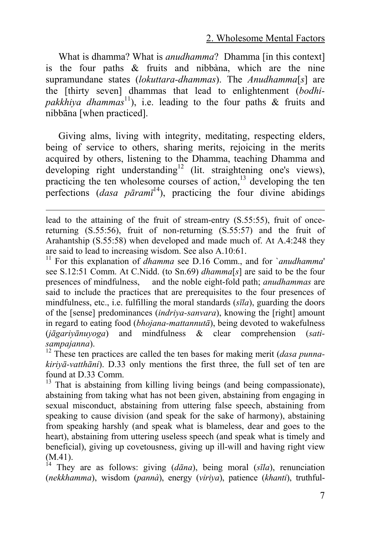What is dhamma? What is *anudhamma*? Dhamma [in this context] is the four paths  $\&$  fruits and nibbàna, which are the nine supramundane states (*lokuttara-dhammas*). The *Anudhamma*[*s*] are the [thirty seven] dhammas that lead to enlightenment (*bodhi*pakkhiya dhammas<sup>11</sup>), i.e. leading to the four paths & fruits and nibbāna [when practiced].

Giving alms, living with integrity, meditating, respecting elders, being of service to others, sharing merits, rejoicing in the merits acquired by others, listening to the Dhamma, teaching Dhamma and developing right understanding<sup>12</sup> (lit. straightening one's views), practicing the ten wholesome courses of action, $13$  developing the ten perfections (*dasa pāramī* 14), practicing the four divine abidings

l

see S.12:51 Comm. At C.Nidd. (to Sn.69) *dhamma*[*s*] are said to be the four presences of mindfulness, and the noble eight-fold path; *anudhammas* are said to include the practices that are prerequisites to the four presences of mindfulness, etc., i.e. fulfilling the moral standards (*sīla*), guarding the doors of the [sense] predominances (*indriya-sanvara*), knowing the [right] amount in regard to eating food (*bhojana-mattannutā*), being devoted to wakefulness (*jāgariyānuyoga*) and mindfulness & clear comprehension (*satisampajanna*). 12 These ten practices are called the ten bases for making merit (*dasa punna-*

*kiriyā-vatthāni*). D.33 only mentions the first three, the full set of ten are found at D.33 Comm.<br><sup>13</sup> That is abstaining from killing living beings (and being compassionate),

abstaining from taking what has not been given, abstaining from engaging in sexual misconduct, abstaining from uttering false speech, abstaining from speaking to cause division (and speak for the sake of harmony), abstaining from speaking harshly (and speak what is blameless, dear and goes to the heart), abstaining from uttering useless speech (and speak what is timely and beneficial), giving up covetousness, giving up ill-will and having right view (M.41). <sup>14</sup> They are as follows: giving ( $d\bar{a}$ *na*), being moral ( $s\bar{a}$ *la*), renunciation

(*nekkhamma*), wisdom (*pannà*), energy (*viriya*), patience (*khanti*), truthful-

lead to the attaining of the fruit of stream-entry (S.55:55), fruit of oncereturning (S.55:56), fruit of non-returning (S.55:57) and the fruit of Arahantship (S.55:58) when developed and made much of. At A.4:248 they are said to lead to increasing wisdom. See also A.10:61. 11 For this explanation of *dhamma* see D.16 Comm., and for `*anudhamma*'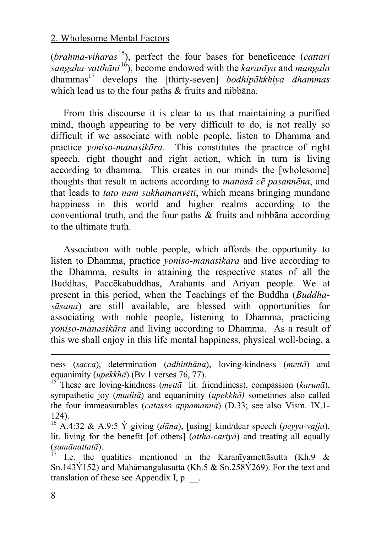(*brahma-vihāras* 15), perfect the four bases for beneficence (*cattāri sangaha-vatthāni* 16), become endowed with the *karanīya* and *mangala* dhammas 17 develops the [thirty-seven] *bodhipākkhiya dhammas* which lead us to the four paths & fruits and nibbana.

From this discourse it is clear to us that maintaining a purified mind, though appearing to be very difficult to do, is not really so difficult if we associate with noble people, listen to Dhamma and practice *yoniso-manasikāra.* This constitutes the practice of right speech, right thought and right action, which in turn is living according to dhamma. This creates in our minds the [wholesome] thoughts that result in actions according to *manasā cē pasannēna*, and that leads to *tato nam sukhamanvētī*, which means bringing mundane happiness in this world and higher realms according to the conventional truth, and the four paths & fruits and nibbāna according to the ultimate truth.

Association with noble people, which affords the opportunity to listen to Dhamma, practice *yoniso-manasikāra* and live according to the Dhamma, results in attaining the respective states of all the Buddhas, Paccēkabuddhas, Arahants and Ariyan people. We at present in this period, when the Teachings of the Buddha (*Buddhasāsana*) are still available, are blessed with opportunities for associating with noble people, listening to Dhamma, practicing *yoniso-manasikāra* and living according to Dhamma. As a result of this we shall enjoy in this life mental happiness, physical well-being, a

l

ness (*sacca*), determination (*adhitthāna*), loving-kindness (*mettā*) and equanimity (*upekkhā*) (Bv.1 verses 76, 77). 15 These are loving-kindness (*mettā* lit. friendliness), compassion (*karunā*),

sympathetic joy (*muditā*) and equanimity (*upekkhā)* sometimes also called the four immeasurables (*catasso appamannā*) (D.33; see also Vism. IX,1- 124).

<sup>16</sup> A.4:32 & A.9:5 Ý giving (*dāna*), [using] kind/dear speech (*peyya-vajja*), lit. living for the benefit [of others] (*attha-cariyā*) and treating all equally (*samānattatā*). 17 I.e. the qualities mentioned in the Karanīyamettāsutta (Kh.9 &

Sn.143Ý152) and Mahāmangalasutta (Kh.5 & Sn.258Ý269). For the text and translation of these see Appendix I, p. \_\_.